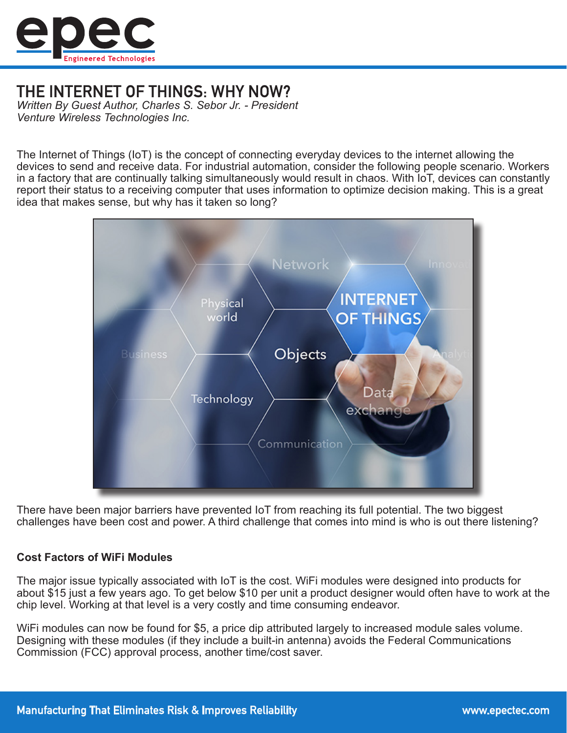

# THE INTERNET OF THINGS: WHY NOW?

*Written By Guest Author, Charles S. Sebor Jr. - President Venture Wireless Technologies Inc.*

The Internet of Things (IoT) is the concept of connecting everyday devices to the internet allowing the devices to send and receive data. For industrial automation, consider the following people scenario. Workers in a factory that are continually talking simultaneously would result in chaos. With IoT, devices can constantly report their status to a receiving computer that uses information to optimize decision making. This is a great idea that makes sense, but why has it taken so long?



There have been major barriers have prevented IoT from reaching its full potential. The two biggest challenges have been cost and power. A third challenge that comes into mind is who is out there listening?

### **Cost Factors of WiFi Modules**

The major issue typically associated with IoT is the cost. WiFi modules were designed into products for about \$15 just a few years ago. To get below \$10 per unit a product designer would often have to work at the chip level. Working at that level is a very costly and time consuming endeavor.

WiFi modules can now be found for \$5, a price dip attributed largely to increased module sales volume. Designing with these modules (if they include a built-in antenna) avoids the Federal Communications Commission (FCC) approval process, another time/cost saver.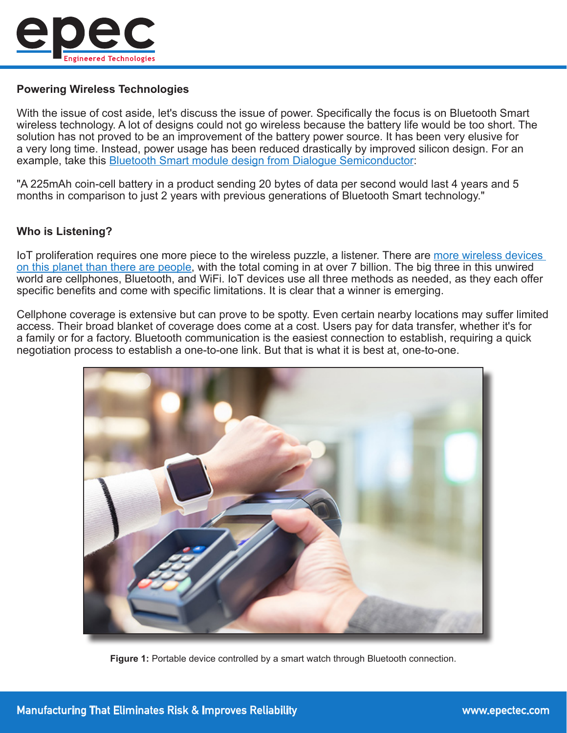

## **Powering Wireless Technologies**

With the issue of cost aside, let's discuss the issue of power. Specifically the focus is on Bluetooth Smart wireless technology. A lot of designs could not go wireless because the battery life would be too short. The solution has not proved to be an improvement of the battery power source. It has been very elusive for a very long time. Instead, power usage has been reduced drastically by improved silicon design. For an example, take this [Bluetooth Smart module design from Dialogue Semiconductor:](http://www.dialog-semiconductor.com/media-centre/press-releases/press-releases-details/2013/05/21/dialog-semiconductor-introduces-the-world-s-lowest-power-bluetooth-smart-chip)

"A 225mAh coin-cell battery in a product sending 20 bytes of data per second would last 4 years and 5 months in comparison to just 2 years with previous generations of Bluetooth Smart technology."

## **Who is Listening?**

IoT proliferation requires one more piece to the wireless puzzle, a listener. There are [more wireless devices](http://www.independent.co.uk/life-style/gadgets-and-tech/news/there-are-officially-more-mobile-devices-than-people-in-the-world-9780518.html)  [on this planet than there are people,](http://www.independent.co.uk/life-style/gadgets-and-tech/news/there-are-officially-more-mobile-devices-than-people-in-the-world-9780518.html) with the total coming in at over 7 billion. The big three in this unwired world are cellphones, Bluetooth, and WiFi. IoT devices use all three methods as needed, as they each offer specific benefits and come with specific limitations. It is clear that a winner is emerging.

Cellphone coverage is extensive but can prove to be spotty. Even certain nearby locations may suffer limited access. Their broad blanket of coverage does come at a cost. Users pay for data transfer, whether it's for a family or for a factory. Bluetooth communication is the easiest connection to establish, requiring a quick negotiation process to establish a one-to-one link. But that is what it is best at, one-to-one.



**Figure 1:** Portable device controlled by a smart watch through Bluetooth connection.